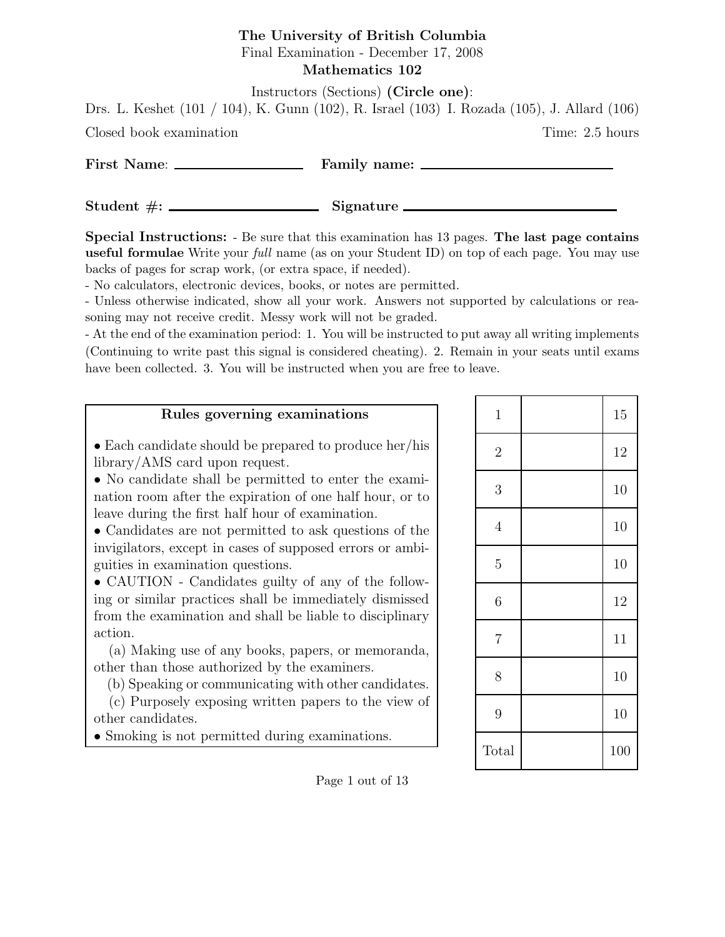### The University of British Columbia Final Examination - December 17, 2008 Mathematics 102

Instructors (Sections) (Circle one):

Drs. L. Keshet (101 / 104), K. Gunn (102), R. Israel (103) I. Rozada (105), J. Allard (106)

Closed book examination Time: 2.5 hours

| First Name: | Family name: |
|-------------|--------------|
|             |              |

 $Student \#:$  Signature

Special Instructions: - Be sure that this examination has 13 pages. The last page contains useful formulae Write your *full* name (as on your Student ID) on top of each page. You may use backs of pages for scrap work, (or extra space, if needed).

- No calculators, electronic devices, books, or notes are permitted.

- Unless otherwise indicated, show all your work. Answers not supported by calculations or reasoning may not receive credit. Messy work will not be graded.

- At the end of the examination period: 1. You will be instructed to put away all writing implements (Continuing to write past this signal is considered cheating). 2. Remain in your seats until exams have been collected. 3. You will be instructed when you are free to leave.

### Rules governing examinations

• Each candidate should be prepared to produce her/his library/AMS card upon request.

• No candidate shall be permitted to enter the examination room after the expiration of one half hour, or to leave during the first half hour of examination.

• Candidates are not permitted to ask questions of the invigilators, except in cases of supposed errors or ambiguities in examination questions.

• CAUTION - Candidates guilty of any of the following or similar practices shall be immediately dismissed from the examination and shall be liable to disciplinary action.

(a) Making use of any books, papers, or memoranda, other than those authorized by the examiners.

(b) Speaking or communicating with other candidates.

(c) Purposely exposing written papers to the view of other candidates.

• Smoking is not permitted during examinations.

| $\mathbf{1}$   | 15  |
|----------------|-----|
| $\overline{2}$ | 12  |
| 3              | 10  |
| $\overline{4}$ | 10  |
| $\overline{5}$ | 10  |
| 6              | 12  |
| $\overline{7}$ | 11  |
| 8              | 10  |
| 9              | 10  |
| Total          | 100 |

Page 1 out of 13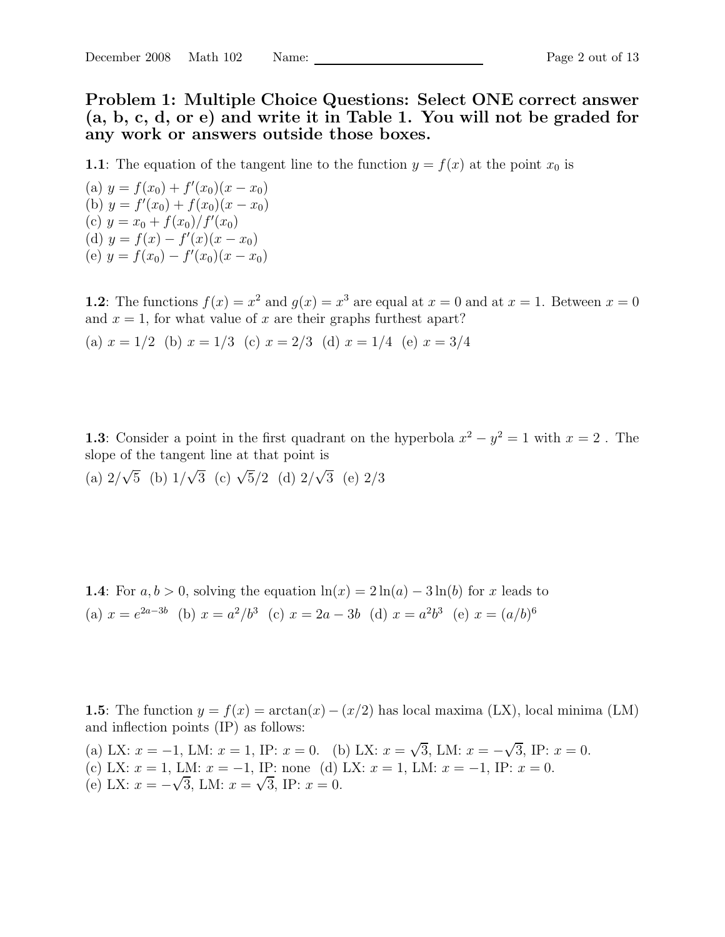Problem 1: Multiple Choice Questions: Select ONE correct answer (a, b, c, d, or e) and write it in Table 1. You will not be graded for any work or answers outside those boxes.

1.1: The equation of the tangent line to the function  $y = f(x)$  at the point  $x_0$  is

(a)  $y = f(x_0) + f'(x_0)(x - x_0)$ (b)  $y = f'(x_0) + f(x_0)(x - x_0)$ (c)  $y = x_0 + f(x_0) / f'(x_0)$ (d)  $y = f(x) - f'(x)(x - x_0)$ (e)  $y = f(x_0) - f'(x_0)(x - x_0)$ 

**1.2**: The functions  $f(x) = x^2$  and  $g(x) = x^3$  are equal at  $x = 0$  and at  $x = 1$ . Between  $x = 0$ and  $x = 1$ , for what value of x are their graphs furthest apart? (a)  $x = 1/2$  (b)  $x = 1/3$  (c)  $x = 2/3$  (d)  $x = 1/4$  (e)  $x = 3/4$ 

**1.3**: Consider a point in the first quadrant on the hyperbola  $x^2 - y^2 = 1$  with  $x = 2$ . The slope of the tangent line at that point is

(a)  $2/\sqrt{5}$  (b)  $1/\sqrt{3}$  (c)  $\sqrt{5}/2$  (d)  $2/\sqrt{3}$  (e)  $2/3$ 

**1.4:** For  $a, b > 0$ , solving the equation  $\ln(x) = 2 \ln(a) - 3 \ln(b)$  for x leads to (a)  $x = e^{2a-3b}$  (b)  $x = a^2/b^3$  (c)  $x = 2a - 3b$  (d)  $x = a^2b^3$  (e)  $x = (a/b)^6$ 

1.5: The function  $y = f(x) = \arctan(x) - (x/2)$  has local maxima (LX), local minima (LM) and inflection points (IP) as follows:

(a) LX:  $x = -1$ , LM:  $x = 1$ , IP:  $x = 0$ . (b) LX:  $x = \sqrt{3}$ , LM:  $x = -\sqrt{3}$ , IP:  $x = 0$ . (c) LX:  $x = 1$ , LM:  $x = -1$ , IP: none (d) LX:  $x = 1$ , LM:  $x = -1$ , IP:  $x = 0$ . (e) LX:  $x = -\sqrt{3}$ , LM:  $x = \sqrt{3}$ , IP:  $x = 0$ .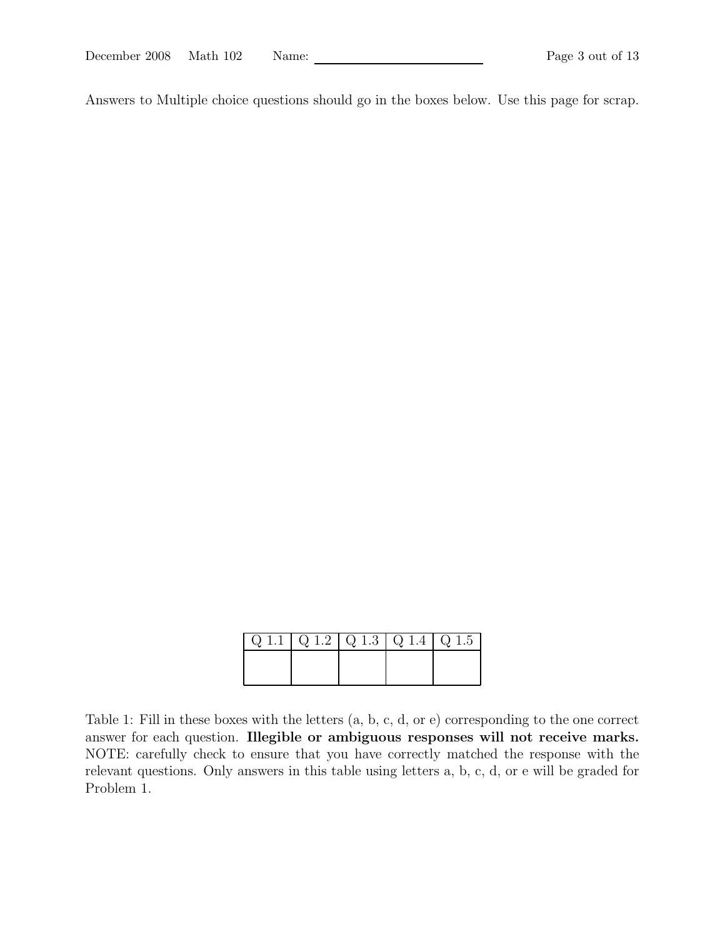Answers to Multiple choice questions should go in the boxes below. Use this page for scrap.

| $\boxed{ \big\vert Q \big\vert 1.1 \big\vert Q \big\vert 1.2 \big\vert Q \big\vert 1.3 \big\vert Q \big\vert 1.4 \big\vert Q \big\vert 1.5 \big\vert}$ |  |  |
|--------------------------------------------------------------------------------------------------------------------------------------------------------|--|--|
|                                                                                                                                                        |  |  |
|                                                                                                                                                        |  |  |

Table 1: Fill in these boxes with the letters (a, b, c, d, or e) corresponding to the one correct answer for each question. Illegible or ambiguous responses will not receive marks. NOTE: carefully check to ensure that you have correctly matched the response with the relevant questions. Only answers in this table using letters a, b, c, d, or e will be graded for Problem 1.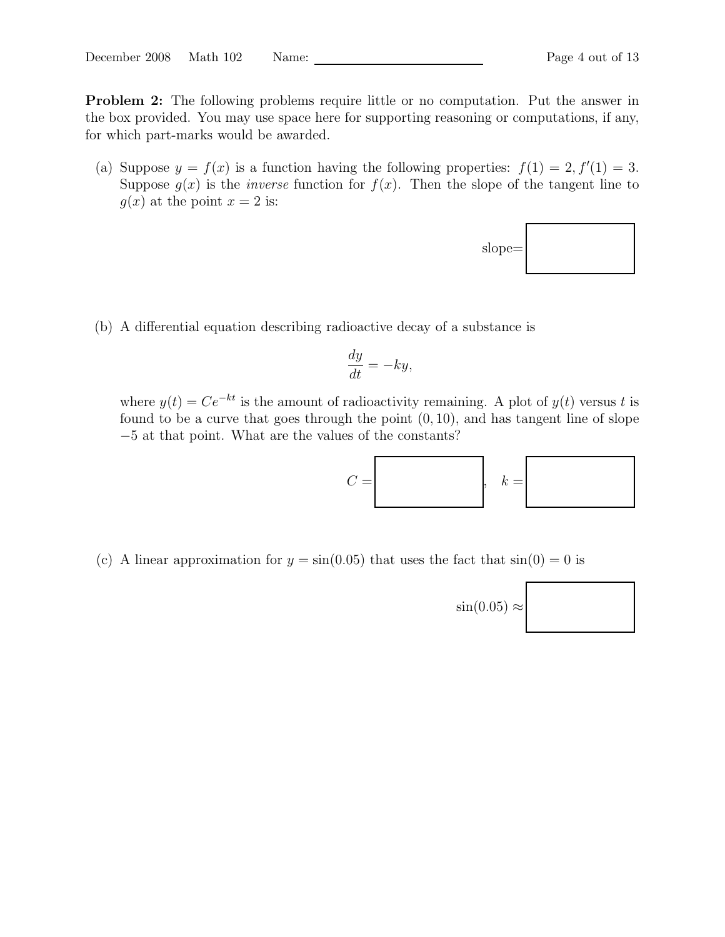Problem 2: The following problems require little or no computation. Put the answer in the box provided. You may use space here for supporting reasoning or computations, if any, for which part-marks would be awarded.

(a) Suppose  $y = f(x)$  is a function having the following properties:  $f(1) = 2, f'(1) = 3$ . Suppose  $g(x)$  is the *inverse* function for  $f(x)$ . Then the slope of the tangent line to  $g(x)$  at the point  $x = 2$  is:



(b) A differential equation describing radioactive decay of a substance is

$$
\frac{dy}{dt} = -ky,
$$

where  $y(t) = Ce^{-kt}$  is the amount of radioactivity remaining. A plot of  $y(t)$  versus t is found to be a curve that goes through the point  $(0, 10)$ , and has tangent line of slope −5 at that point. What are the values of the constants?



(c) A linear approximation for  $y = sin(0.05)$  that uses the fact that  $sin(0) = 0$  is

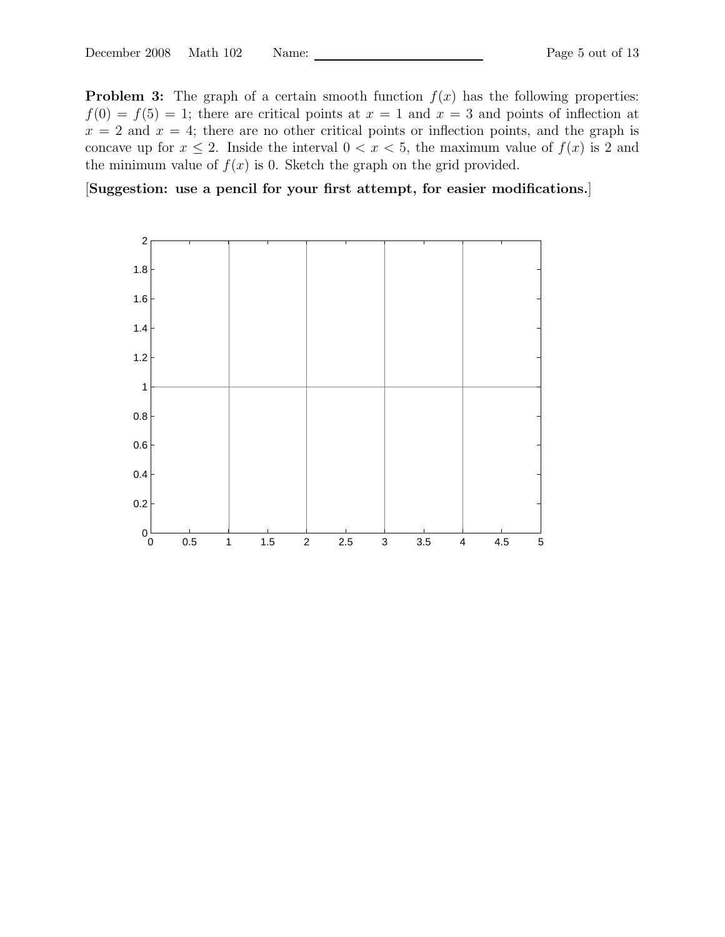**Problem 3:** The graph of a certain smooth function  $f(x)$  has the following properties:  $f(0) = f(5) = 1$ ; there are critical points at  $x = 1$  and  $x = 3$  and points of inflection at  $x = 2$  and  $x = 4$ ; there are no other critical points or inflection points, and the graph is concave up for  $x \leq 2$ . Inside the interval  $0 < x < 5$ , the maximum value of  $f(x)$  is 2 and the minimum value of  $f(x)$  is 0. Sketch the graph on the grid provided.

[Suggestion: use a pencil for your first attempt, for easier modifications.]

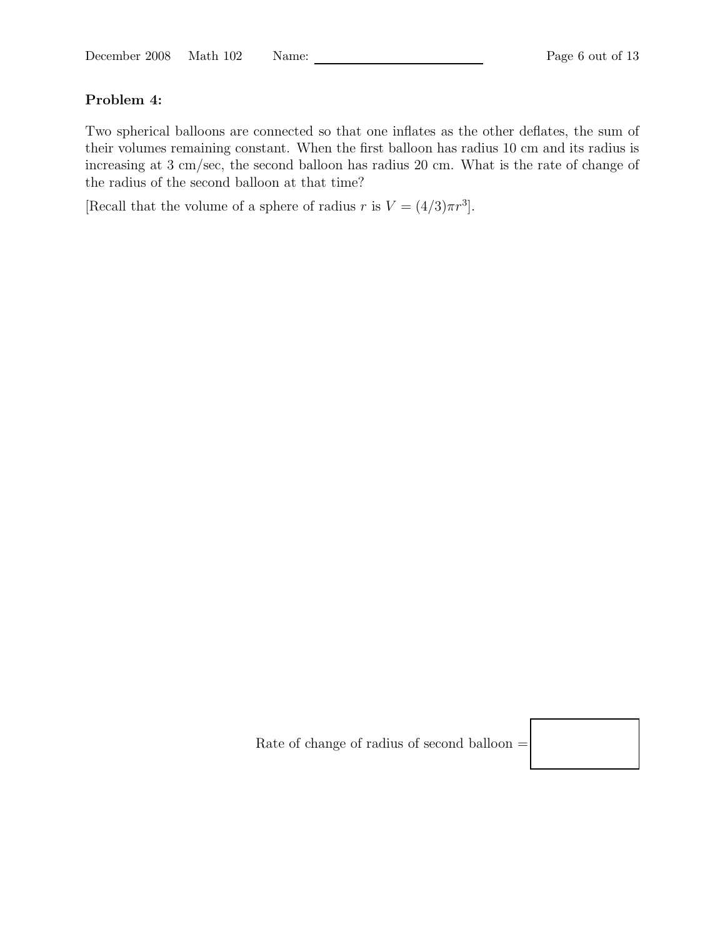## Problem 4:

Two spherical balloons are connected so that one inflates as the other deflates, the sum of their volumes remaining constant. When the first balloon has radius 10 cm and its radius is increasing at 3 cm/sec, the second balloon has radius 20 cm. What is the rate of change of the radius of the second balloon at that time?

[Recall that the volume of a sphere of radius r is  $V = (4/3)\pi r^3$ ].

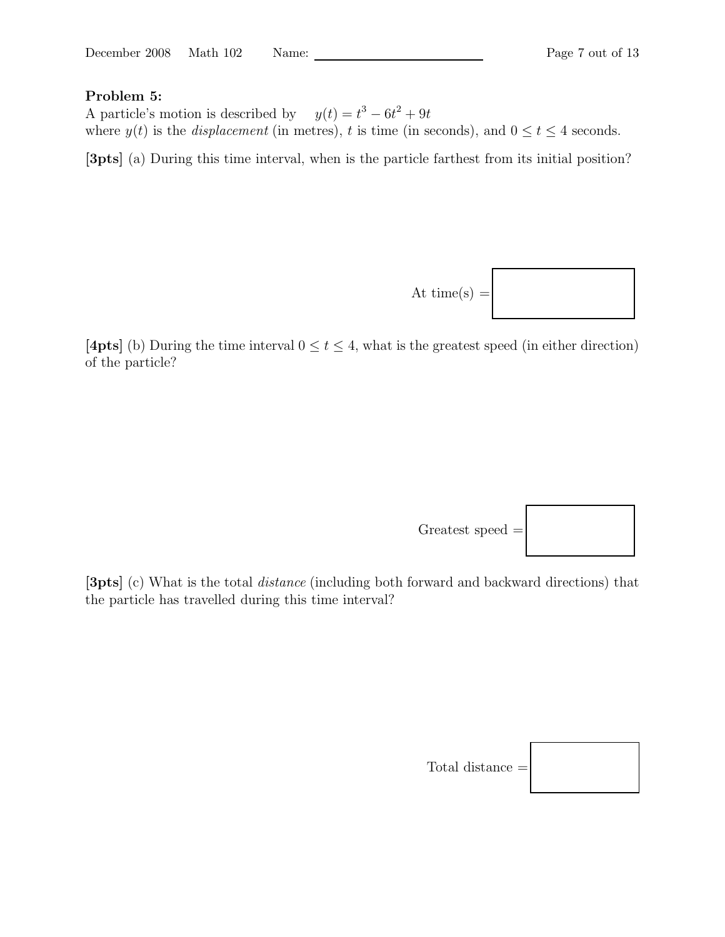#### Problem 5:

A particle's motion is described by  $y(t) = t^3 - 6t^2 + 9t$ where  $y(t)$  is the *displacement* (in metres), t is time (in seconds), and  $0 \le t \le 4$  seconds.

[3pts] (a) During this time interval, when is the particle farthest from its initial position?



[4pts] (b) During the time interval  $0 \le t \le 4$ , what is the greatest speed (in either direction) of the particle?



[3pts] (c) What is the total distance (including both forward and backward directions) that the particle has travelled during this time interval?

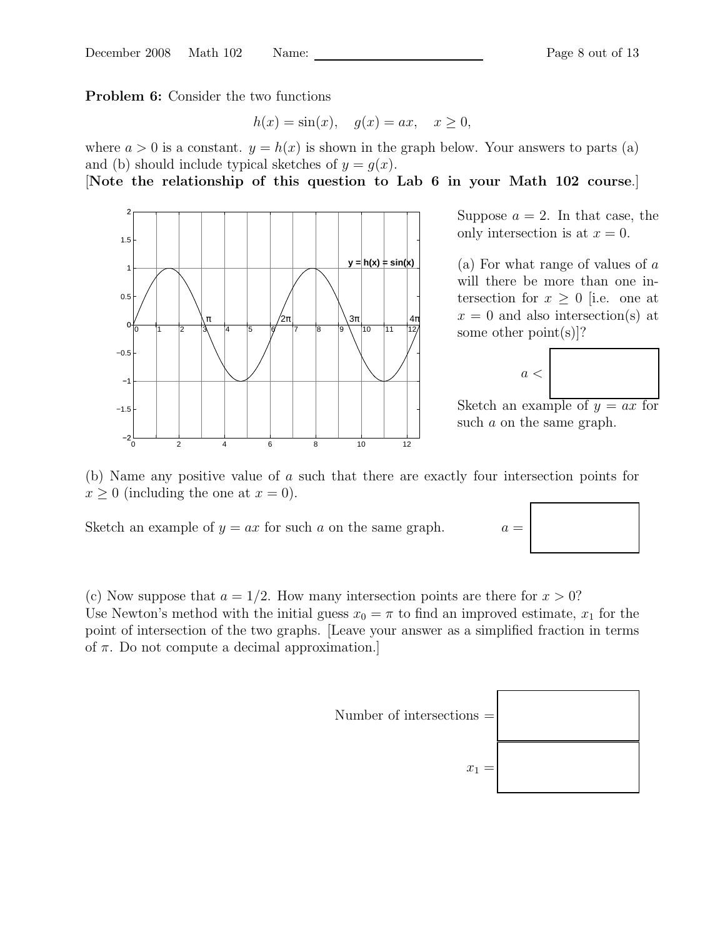Problem 6: Consider the two functions

$$
h(x) = \sin(x), \quad g(x) = ax, \quad x \ge 0,
$$

where  $a > 0$  is a constant.  $y = h(x)$  is shown in the graph below. Your answers to parts (a) and (b) should include typical sketches of  $y = q(x)$ .

### [Note the relationship of this question to Lab 6 in your Math 102 course.]



Suppose  $a = 2$ . In that case, the only intersection is at  $x = 0$ .

(a) For what range of values of a will there be more than one intersection for  $x \geq 0$  [i.e. one at  $x = 0$  and also intersection(s) at some other point(s)]?

$$
a < |
$$

Sketch an example of  $y = ax$  for such a on the same graph.



Sketch an example of  $y = ax$  for such a on the same graph.  $a =$ 

(c) Now suppose that  $a = 1/2$ . How many intersection points are there for  $x > 0$ ? Use Newton's method with the initial guess  $x_0 = \pi$  to find an improved estimate,  $x_1$  for the point of intersection of the two graphs. [Leave your answer as a simplified fraction in terms of  $\pi$ . Do not compute a decimal approximation.



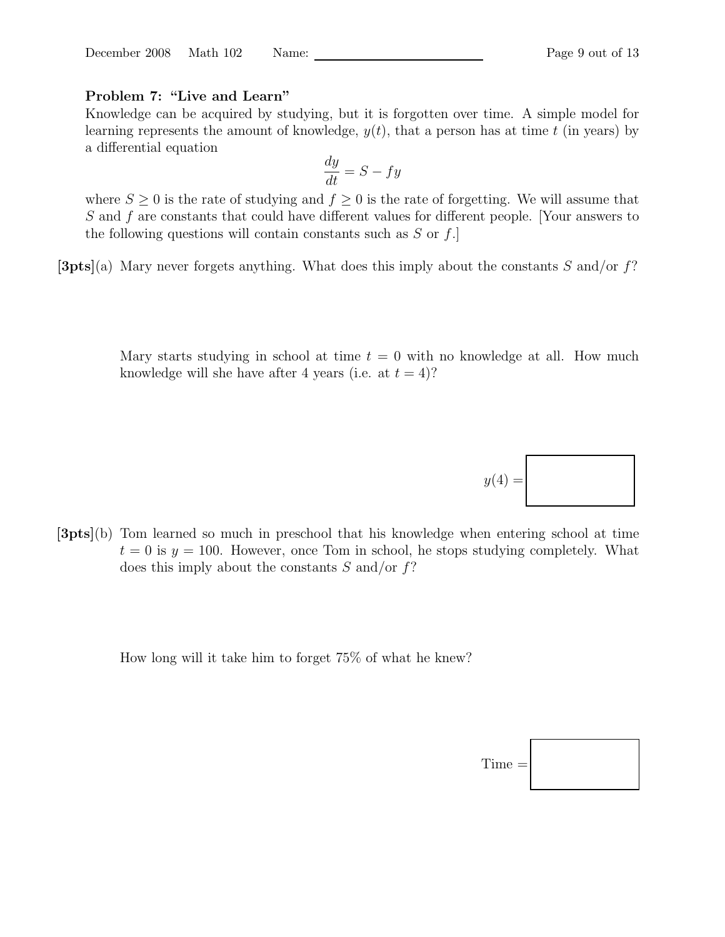#### Problem 7: "Live and Learn"

Knowledge can be acquired by studying, but it is forgotten over time. A simple model for learning represents the amount of knowledge,  $y(t)$ , that a person has at time t (in years) by a differential equation

$$
\frac{dy}{dt} = S - fy
$$

where  $S \geq 0$  is the rate of studying and  $f \geq 0$  is the rate of forgetting. We will assume that S and f are constants that could have different values for different people. [Your answers to the following questions will contain constants such as  $S$  or  $f$ .

 $[3pts](a)$  Mary never forgets anything. What does this imply about the constants S and/or f?

Mary starts studying in school at time  $t = 0$  with no knowledge at all. How much knowledge will she have after 4 years (i.e. at  $t = 4$ )?

[3pts](b) Tom learned so much in preschool that his knowledge when entering school at time  $t = 0$  is  $y = 100$ . However, once Tom in school, he stops studying completely. What does this imply about the constants  $S$  and/or  $f$ ?

How long will it take him to forget 75% of what he knew?



 $y(4) =$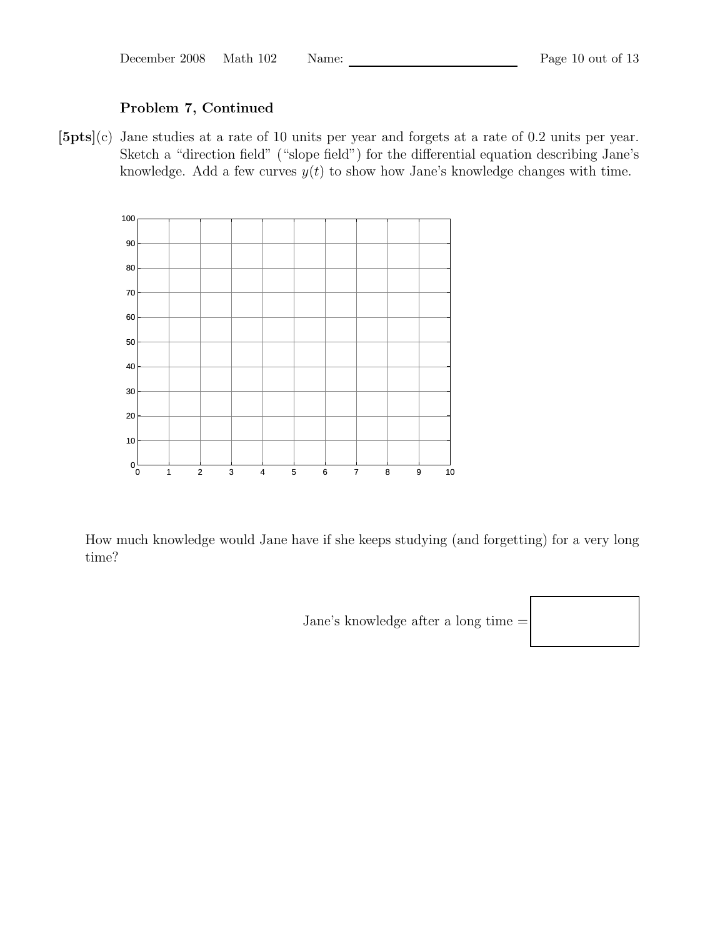December 2008 Math 102 Name: Page 10 out of 13

## Problem 7, Continued

[5pts](c) Jane studies at a rate of 10 units per year and forgets at a rate of 0.2 units per year. Sketch a "direction field" ("slope field") for the differential equation describing Jane's knowledge. Add a few curves  $y(t)$  to show how Jane's knowledge changes with time.



How much knowledge would Jane have if she keeps studying (and forgetting) for a very long time?

Jane's knowledge after a long time =

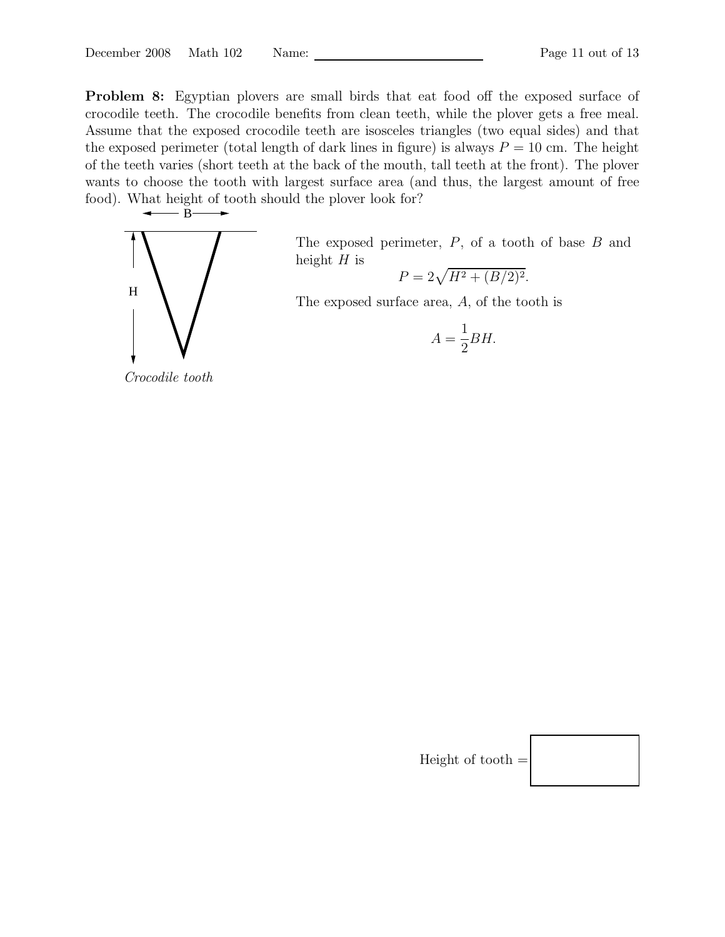Problem 8: Egyptian plovers are small birds that eat food off the exposed surface of crocodile teeth. The crocodile benefits from clean teeth, while the plover gets a free meal. Assume that the exposed crocodile teeth are isosceles triangles (two equal sides) and that the exposed perimeter (total length of dark lines in figure) is always  $P = 10$  cm. The height of the teeth varies (short teeth at the back of the mouth, tall teeth at the front). The plover wants to choose the tooth with largest surface area (and thus, the largest amount of free food). What height of tooth should the plover look for?



Crocodile tooth

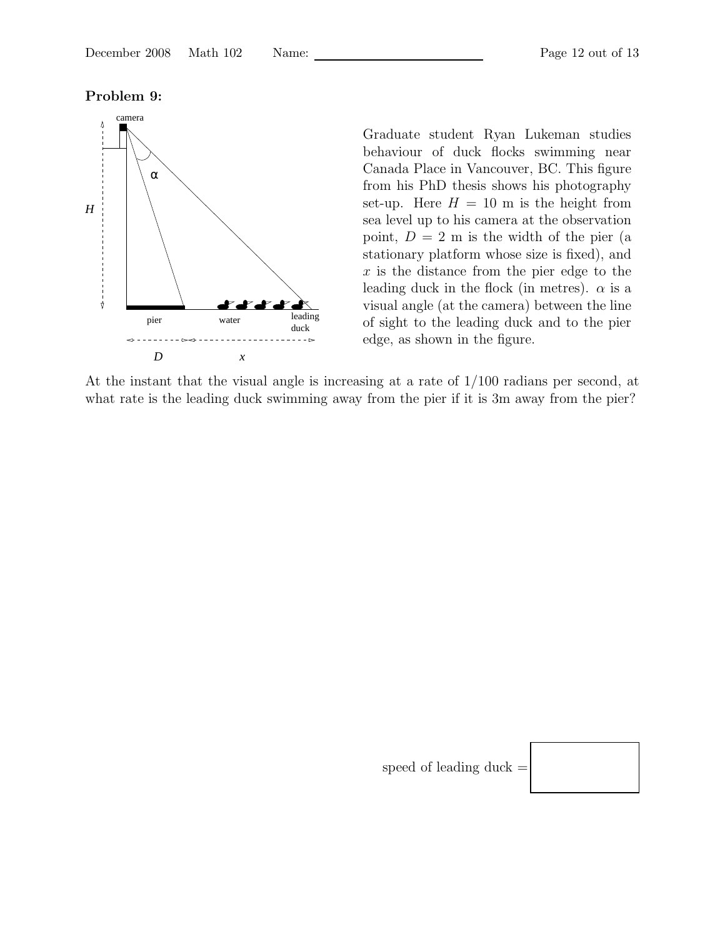#### Problem 9:



Graduate student Ryan Lukeman studies behaviour of duck flocks swimming near Canada Place in Vancouver, BC. This figure from his PhD thesis shows his photography set-up. Here  $H = 10$  m is the height from sea level up to his camera at the observation point,  $D = 2$  m is the width of the pier (a stationary platform whose size is fixed), and  $x$  is the distance from the pier edge to the leading duck in the flock (in metres).  $\alpha$  is a visual angle (at the camera) between the line of sight to the leading duck and to the pier edge, as shown in the figure.

At the instant that the visual angle is increasing at a rate of 1/100 radians per second, at what rate is the leading duck swimming away from the pier if it is 3m away from the pier?

speed of leading duck  $=$